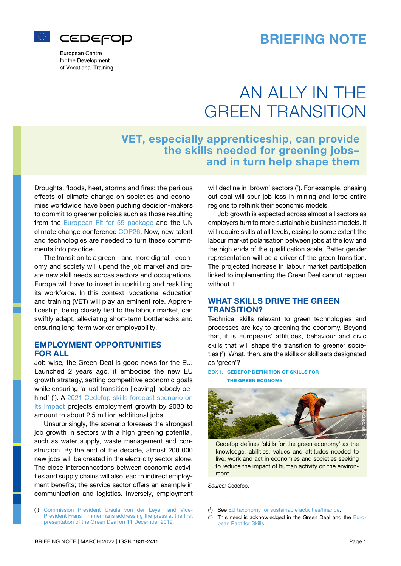



European Centre for the Development of Vocational Training

# AN ALLY IN THE GREEN TRANSITION

## VET, especially apprenticeship, can provide the skills needed for greening jobs– and in turn help shape them

Droughts, floods, heat, storms and fires: the perilous effects of climate change on societies and economies worldwide have been pushing decision-makers to commit to greener policies such as those resulting from the [European Fit for 55 package](https://eur-lex.europa.eu/legal-content/EN/TXT/?uri=CELEX:52021DC0550) and the UN climate change conference [COP26](https://ukcop26.org/). Now, new talent and technologies are needed to turn these commitments into practice.

The transition to a green – and more digital – economy and society will upend the job market and create new skill needs across sectors and occupations. Europe will have to invest in upskilling and reskilling its workforce. In this context, vocational education and training (VET) will play an eminent role. Apprenticeship, being closely tied to the labour market, can swiftly adapt, alleviating short-term bottlenecks and ensuring long-term worker employability.

#### EMPLOYMENT OPPORTUNITIES FOR ALL

Job-wise, the Green Deal is good news for the EU. Launched 2 years ago, it embodies the new EU growth strategy, setting competitive economic goals while ensuring 'a just transition [leaving] nobody be-hind' (1). A [2021 Cedefop skills forecast scenario on](https://www.cedefop.europa.eu/en/publications/4206) [its impact](https://www.cedefop.europa.eu/en/publications/4206) projects employment growth by 2030 to amount to about 2.5 million additional jobs.

Unsurprisingly, the scenario foresees the strongest job growth in sectors with a high greening potential, such as water supply, waste management and construction. By the end of the decade, almost 200 000 new jobs will be created in the electricity sector alone. The close interconnections between economic activities and supply chains will also lead to indirect employment benefits; the service sector offers an example in communication and logistics. Inversely, employment The Communication and logistics. Inversely, employment and Vice-<br>
Insurprisingly, the scenario foresees the strongest<br>
Unsurprisingly, the scenario foresees the strongest<br>
Unsurprisingly, waste management and con-<br>
structi

(1) [Commission President Ursula von der Leyen and Vice-](https://ec.europa.eu/commission/presscorner/detail/en/ip_19_6691)[President Frans Timmermans addressing the press at the first](https://ec.europa.eu/commission/presscorner/detail/en/ip_19_6691) [presentation of the Green Deal on 11 December 2019.](https://ec.europa.eu/commission/presscorner/detail/en/ip_19_6691)

will decline in 'brown' sectors (<sup>2</sup>). For example, phasing out coal will spur job loss in mining and force entire regions to rethink their economic models.

Job growth is expected across almost all sectors as employers turn to more sustainable business models. It will require skills at all levels, easing to some extent the labour market polarisation between jobs at the low and the high ends of the qualification scale. Better gender representation will be a driver of the green transition. The projected increase in labour market participation linked to implementing the Green Deal cannot happen without it.

### WHAT SKILLS DRIVE THE GREEN TRANSITION?

Technical skills relevant to green technologies and processes are key to greening the economy. Beyond that, it is Europeans' attitudes, behaviour and civic skills that will shape the transition to greener societies (3 ). What, then, are the skills or skill sets designated as 'green'?

#### BOX 1. CEDEFOP DEFINITION OF SKILLS FOR THE GREEN ECONOMY



Cedefop defines 'skills for the green economy' as the knowledge, abilities, values and attitudes needed to live, work and act in economies and societies seeking to reduce the impact of human activity on the environment.

*Source:* Cedefop.

<sup>(</sup>²) See [EU taxonomy for sustainable activities/finance](https://ec.europa.eu/info/sites/default/files/business_economy_euro/banking_and_finance/documents/200309-sustainable-finance-teg-final-report-taxonomy_en.pdf).

 $(3)$  This need is acknowledged in the Green Deal and the [Euro](https://ec.europa.eu/social/main.jsp?catId=1517&langId=en)[pean Pact for Skills](https://ec.europa.eu/social/main.jsp?catId=1517&langId=en).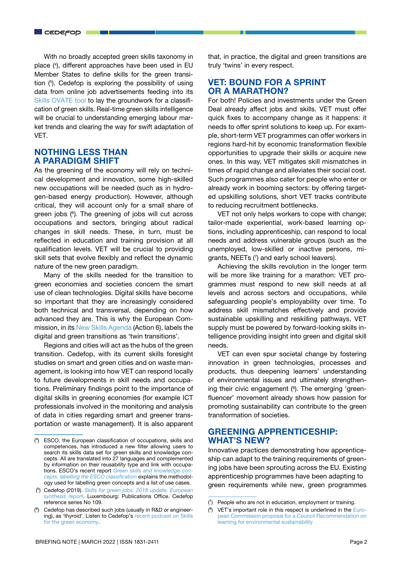With no broadly accepted green skills taxonomy in place (4 ), different approaches have been used in EU Member States to define skills for the green transition (5 ). Cedefop is exploring the possibility of using data from online job advertisements feeding into its [Skills OVATE tool](https://www.cedefop.europa.eu/en/tools/skills-online-vacancies) to lay the groundwork for a classification of green skills. Real-time green skills intelligence will be crucial to understanding emerging labour market trends and clearing the way for swift adaptation of VET.

## NOTHING LESS THAN A PARADIGM SHIFT

As the greening of the economy will rely on technical development and innovation, some high-skilled new occupations will be needed (such as in hydrogen-based energy production). However, although critical, they will account only for a small share of green jobs (6 ). The greening of jobs will cut across occupations and sectors, bringing about radical changes in skill needs. These, in turn, must be reflected in education and training provision at all qualification levels. VET will be crucial to providing skill sets that evolve flexibly and reflect the dynamic nature of the new green paradigm.

Many of the skills needed for the transition to green economies and societies concern the smart use of clean technologies. Digital skills have become so important that they are increasingly considered both technical and transversal, depending on how advanced they are. This is why the European Commission, in its [New Skills Agenda \(](https://ec.europa.eu/social/main.jsp?catId=1223&langId=en)Action 6), labels the digital and green transitions as 'twin transitions'.

Regions and cities will act as the hubs of the green transition. Cedefop, with its current skills foresight studies on smart and green cities and on waste management, is looking into how VET can respond locally to future developments in skill needs and occupations. Preliminary findings point to the importance of digital skills in greening economies (for example ICT professionals involved in the monitoring and analysis of data in cities regarding smart and greener transportation or waste management). It is also apparent that, in practice, the digital and green transitions are truly 'twins' in every respect.

## VET: BOUND FOR A SPRINT OR A MARATHON?

For both! Policies and investments under the Green Deal already affect jobs and skills. VET must offer quick fixes to accompany change as it happens: it needs to offer sprint solutions to keep up. For example, short-term VET programmes can offer workers in regions hard-hit by economic transformation flexible opportunities to upgrade their skills or acquire new ones. In this way, VET mitigates skill mismatches in times of rapid change and alleviates their social cost. Such programmes also cater for people who enter or already work in booming sectors: by offering targeted upskilling solutions, short VET tracks contribute to reducing recruitment bottlenecks.

VET not only helps workers to cope with change; tailor-made experiential, work-based learning options, including apprenticeship, can respond to local needs and address vulnerable groups (such as the unemployed, low-skilled or inactive persons, migrants, NEETs (7 ) and early school leavers).

Achieving the skills revolution in the longer term will be more like training for a marathon: VET programmes must respond to new skill needs at all levels and across sectors and occupations, while safeguarding people's employability over time. To address skill mismatches effectively and provide sustainable upskilling and reskilling pathways, VET supply must be powered by forward-looking skills intelligence providing insight into green and digital skill needs.

VET can even spur societal change by fostering innovation in green technologies, processes and products, thus deepening learners' understanding of environmental issues and ultimately strengthening their civic engagement (<sup>8</sup>). The emerging 'greenfluencer' movement already shows how passion for promoting sustainability can contribute to the green transformation of societies.

## GREENING APPRENTICESHIP: WHAT'S NEW?

Innovative practices demonstrating how apprenticeship can adapt to the training requirements of greening jobs have been sprouting across the EU. Existing apprenticeship programmes have been adapting to green requirements while new, green programmes

<sup>(</sup>⁴) ESCO, the European classification of occupations, skills and competences, has introduced a new filter allowing users to search its skills data set for green skills and knowledge concepts. All are translated into 27 languages and complemented by information on their reusability type and link with occupations. ESCO's recent report *[Green skills and knowledge con](https://ec.europa.eu/esco/portal/document/en/490c2095-85c0-49aa-96a8-264c260d2fc5)[cepts: labelling the ESCO classification](https://ec.europa.eu/esco/portal/document/en/490c2095-85c0-49aa-96a8-264c260d2fc5)* explains the methodology used for labelling green concepts and a list of use cases.

 <sup>(</sup>⁵) Cedefop (2019). *[Skills for green jobs: 2018 update. European](https://www.cedefop.europa.eu/en/publications/3078)  [synthesis report](https://www.cedefop.europa.eu/en/publications/3078)*. Luxembourg: Publications Office. Cedefop reference series No 109.

<sup>(</sup>⁶) Cedefop has described such jobs (usually in R&D or engineering), as 'thyroid'. Listen to Cedefop's [recent podcast on Skills](https://www.cedefop.europa.eu/en/podcasts/episode-3-skills-green-economy)  [for the green economy](https://www.cedefop.europa.eu/en/podcasts/episode-3-skills-green-economy).

 $(7)$  People who are not in education, employment or training.

 $(^{8})$  VET's important role in this respect is underlined in the [Euro](https://education.ec.europa.eu/document/proposal-for-a-council-recommendation-on-learning-for-environmental-sustainability)[pean Commission proposal for a Council Recommendation on](https://education.ec.europa.eu/document/proposal-for-a-council-recommendation-on-learning-for-environmental-sustainability) [learning for environmental sustainability](https://education.ec.europa.eu/document/proposal-for-a-council-recommendation-on-learning-for-environmental-sustainability)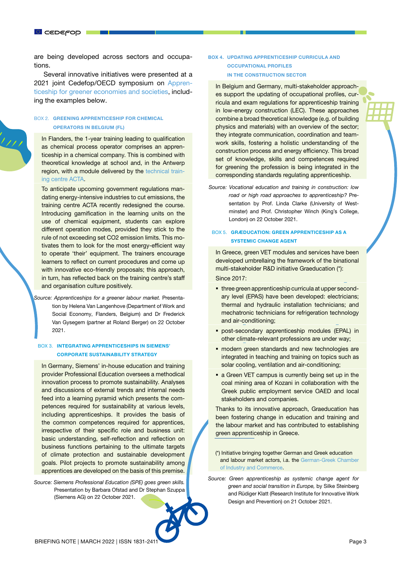are being developed across sectors and occupations.

Several innovative initiatives were presented at a 2021 joint Cedefop/OECD symposium on [Appren](https://www.cedefop.europa.eu/en/events/2021-joint-cedefopoecd-symposium-apprenticeships-greener-economies-and-societies)[ticeship for greener economies and societies,](https://www.cedefop.europa.eu/en/events/2021-joint-cedefopoecd-symposium-apprenticeships-greener-economies-and-societies) including the examples below.

#### BOX 2. GREENING APPRENTICESHIP FOR CHEMICAL OPERATORS IN BELGIUM (FL)

In Flanders, the 1-year training leading to qualification as chemical process operator comprises an apprenticeship in a chemical company. This is combined with theoretical knowledge at school and, in the Antwerp region, with a module delivered by the [technical train](http://technical training centre ACTA)[ing centre ACTA.](http://technical training centre ACTA)

To anticipate upcoming government regulations mandating energy-intensive industries to cut emissions, the training centre ACTA recently redesigned the course. Introducing gamification in the learning units on the use of chemical equipment, students can explore different operation modes, provided they stick to the rule of not exceeding set CO2 emission limits. This motivates them to look for the most energy-efficient way to operate 'their' equipment. The trainers encourage learners to reflect on current procedures and come up with innovative eco-friendly proposals; this approach, in turn, has reflected back on the training centre's staff and organisation culture positively.

*Source: Apprenticeships for a greener labour market.* Presentation by Helena Van Langenhove (Department of Work and Social Economy, Flanders, Belgium) and Dr Frederick Van Gysegem (partner at Roland Berger) on 22 October 2021.

#### BOX 3. INTEGRATING APPRENTICESHIPS IN SIEMENS' CORPORATE SUSTAINABILITY STRATEGY

In Germany, Siemens' in-house education and training provider Professional Education oversees a methodical innovation process to promote sustainability. Analyses and discussions of external trends and internal needs feed into a learning pyramid which presents the competences required for sustainability at various levels, including apprenticeships. It provides the basis of the common competences required for apprentices, irrespective of their specific role and business unit: basic understanding, self-reflection and reflection on business functions pertaining to the ultimate targets of climate protection and sustainable development goals. Pilot projects to promote sustainability among apprentices are developed on the basis of this premise.

*Source: Siemens Professional Education (SPE) goes green skills.*  Presentation by Barbara Ofstad and Dr Stephan Szuppa (Siemens AG) on 22 October 2021.

#### BOX 4. UPDATING APPRENTICESHIP CURRICULA AND OCCUPATIONAL PROFILES IN THE CONSTRUCTION SECTOR

In Belgium and Germany, multi-stakeholder approaches support the updating of occupational profiles, curricula and exam regulations for apprenticeship training in low-energy construction (LEC). These approaches combine a broad theoretical knowledge (e.g. of building physics and materials) with an overview of the sector; they integrate communication, coordination and teamwork skills, fostering a holistic understanding of the construction process and energy efficiency. This broad set of knowledge, skills and competences required for greening the profession is being integrated in the corresponding standards regulating apprenticeship.

*Source: Vocational education and training in construction: low road or high road approaches to apprenticeship?* Presentation by Prof. Linda Clarke (University of Westminster) and Prof. Christopher Winch (King's College, London) on 22 October 2021.

#### BOX 5. GRÆDUCATION: GREEN APPRENTICESHIP AS A SYSTEMIC CHANGE AGENT

In Greece, green VET modules and services have been developed umbrellaing the framework of the binational multi-stakeholder R&D initiative Graeducation (\*):

Since 2017:

- **three green apprenticeship curricula at upper second**ary level (EPAS) have been developed: electricians; thermal and hydraulic installation technicians; and mechatronic technicians for refrigeration technology and air-conditioning;
- post-secondary apprenticeship modules (EPAL) in other climate-relevant professions are under way;
- **nandern green standards and new technologies are** integrated in teaching and training on topics such as solar cooling, ventilation and air-conditioning;
- a Green VET campus is currently being set up in the coal mining area of Kozani in collaboration with the Greek public employment service OAED and local stakeholders and companies.

Thanks to its innovative approach, Graeducation has been fostering change in education and training and the labour market and has contributed to establishing green apprenticeship in Greece.

(\*) Initiative bringing together German and Greek education and labour market actors, i.a. the [German-Greek Chamber](https://griechenland.ahk.de/)  [of Industry and Commerce.](https://griechenland.ahk.de/)

*Source: Green apprenticeship as systemic change agent for green and social transition in Europe,* by Silke Steinberg and Rüdiger Klatt (Research Institute for Innovative Work Design and Prevention) on 21 October 2021.